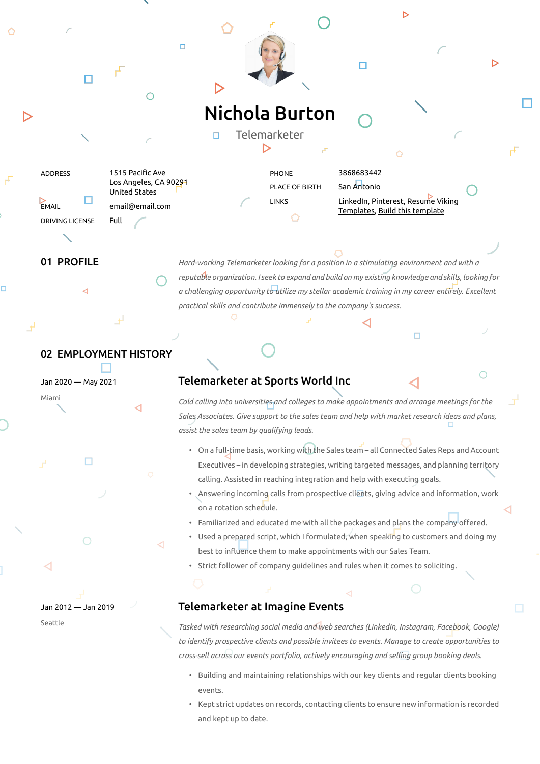

01 PROFILE *Hard-working Telemarketer looking for a position in a stimulating environment and with a reputable organization. I seek to expand and build on my existing knowledge and skills, looking for a challenging opportunity to utilize my stellar academic training in my career entirely. Excellent practical skills and contribute immensely to the company's success.*

 $\Box$ 

 $\bigcirc$ 

## 02 EMPLOYMENT HISTORY

Jan 2020 — May 2021

п

Jan 2012 — Jan 2019

Seattle

╭

Miami

## Telemarketer at Sports World Inc

*Cold calling into universities and colleges to make appointments and arrange meetings for the Sales Associates. Give support to the sales team and help with market research ideas and plans, assist the sales team by qualifying leads.*

- On a full-time basis, working with the Sales team all Connected Sales Reps and Account Executives – in developing strategies, writing targeted messages, and planning territory calling. Assisted in reaching integration and help with executing goals.
- Answering incoming calls from prospective clients, giving advice and information, work on a rotation schedule.
- Familiarized and educated me with all the packages and plans the company offered.
- Used a prepared script, which I formulated, when speaking to customers and doing my best to influence them to make appointments with our Sales Team.
- Strict follower of company guidelines and rules when it comes to soliciting.

## Telemarketer at Imagine Events

*Tasked with researching social media and web searches (LinkedIn, Instagram, Facebook, Google) to identify prospective clients and possible invitees to events. Manage to create opportunities to cross-sell across our events portfolio, actively encouraging and selling group booking deals.*

- Building and maintaining relationships with our key clients and regular clients booking events.
- Kept strict updates on records, contacting clients to ensure new information is recorded and kept up to date.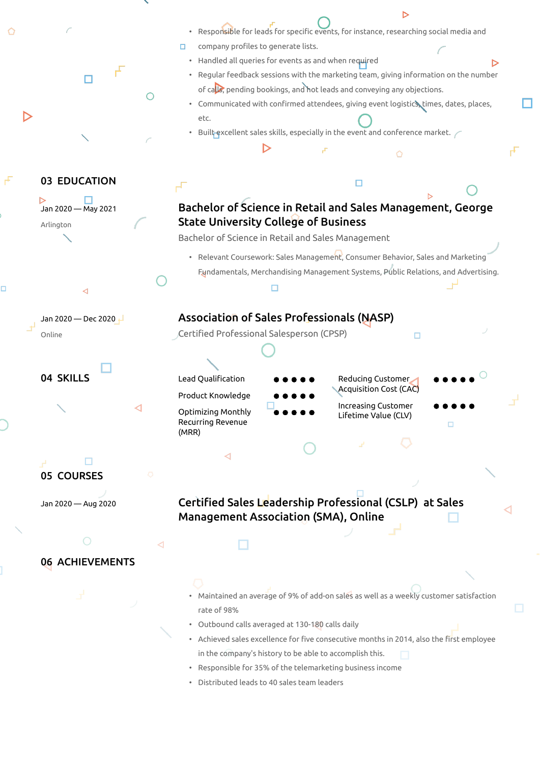